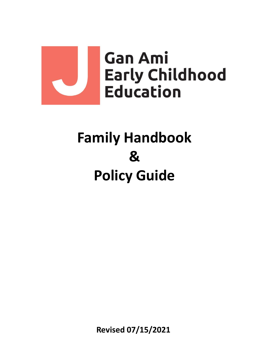

# **Family Handbook & Policy Guide**

**Revised 07/15/2021**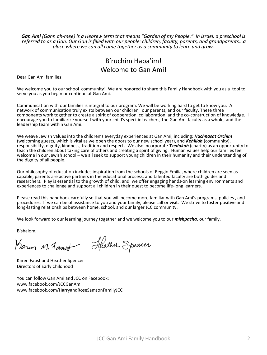*Gan Ami (Gahn ah-mee) is a Hebrew term that means "Garden of my People." In Israel, a preschool is referred to as a Gan. Our Gan is filled with our people: children, faculty, parents, and grandparents...a place where we can all come together as a community to learn and grow.*

# B'ruchim Haba'im! Welcome to Gan Ami!

Dear Gan Ami families:

We welcome you to our school community! We are honored to share this Family Handbook with you as a tool to serve you as you begin or continue at Gan Ami.

Communication with our families is integral to our program. We will be working hard to get to know you. A network of communication truly exists between our children, our parents, and our faculty. These three components work together to create a spirit of cooperation, collaboration, and the co-construction of knowledge. I encourage you to familiarize yourself with your child's specific teachers, the Gan Ami faculty as a whole, and the leadership team within Gan Ami.

We weave Jewish values into the children's everyday experiences at Gan Ami, including: *Hachnasat Orchim* (welcoming guests, which is vital as we open the doors to our new school year), and *Kehillah* (community), responsibility, dignity, kindness, tradition and respect. We also incorporate *Tzedakah* (charity) as an opportunity to teach the children about taking care of others and creating a spirit of giving. Human values help our families feel welcome in our Jewish school – we all seek to support young children in their humanity and their understanding of the dignity of all people.

Our philosophy of education includes inspiration from the schools of Reggio Emilia, where children are seen as capable, parents are active partners in the educational process, and talented faculty are both guides and researchers. Play is essential to the growth of child, and we offer engaging hands-on learning environments and experiences to challenge and support all children in their quest to become life-long learners.

Please read this handbook carefully so that you will become more familiar with Gan Ami's programs, policies , and procedures. If we can be of assistance to you and your family, please call or visit. We strive to foster positive and long-lasting relationships between home, school, and our larger JCC community.

We look forward to our learning journey together and we welcome you to our *mishpacha,* our family.

B'shalom,

Heather Spencer Karen M. Fanst

Karen Faust and Heather Spencer Directors of Early Childhood

You can follow Gan Ami and JCC on Facebook: www.facebook.com/JCCGanAmi www.facebook.com/HarryandRoseSamsonFamilyJCC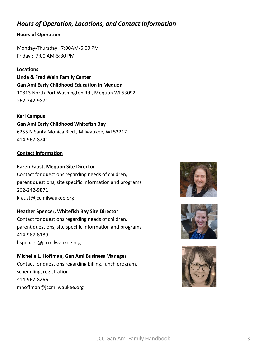# *Hours of Operation, Locations, and Contact Information*

## **Hours of Operation**

Monday-Thursday: 7:00AM-6:00 PM Friday : 7:00 AM-5:30 PM

## **Locations**

**Linda & Fred Wein Family Center Gan Ami Early Childhood Education in Mequon** 10813 North Port Washington Rd., Mequon WI 53092 262-242-9871

### **Karl Campus**

**Gan Ami Early Childhood Whitefish Bay** 6255 N Santa Monica Blvd., Milwaukee, WI 53217 414-967-8241

## **Contact Information**

#### **Karen Faust, Mequon Site Director**

Contact for questions regarding needs of children, parent questions, site specific information and programs 262-242-9871 kfaust@jccmilwaukee.org

## **Heather Spencer, Whitefish Bay Site Director**

Contact for questions regarding needs of children, parent questions, site specific information and programs 414-967-8189 hspencer@jccmilwaukee.org

## **Michelle L. Hoffman, Gan Ami Business Manager** Contact for questions regarding billing, lunch program, scheduling, registration

414-967-8266 mhoffman@jccmilwaukee.org





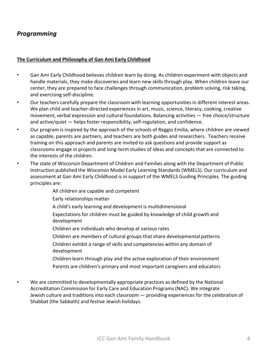# *Programming*

#### **The Curriculum and Philosophy of Gan Ami Early Childhood**

- Gan Ami Early Childhood believes children learn by doing. As children experiment with objects and handle materials, they make discoveries and learn new skills through play. When children leave our center, they are prepared to face challenges through communication, problem solving, risk taking, and exercising self-discipline.
- Our teachers carefully prepare the classroom with learning opportunities in different interest areas. We plan child and teacher-directed experiences in art, music, science, literacy, cooking, creative movement, verbal expression and cultural foundations. Balancing activities — free choice/structure and active/quiet — helps foster responsibility, self-regulation, and confidence.
- Our program is inspired by the approach of the schools of Reggio Emilia, where children are viewed as capable, parents are partners, and teachers are both guides and researchers. Teachers receive training on this approach and parents are invited to ask questions and provide support as classrooms engage in projects and long-term studies of ideas and concepts that are connected to the interests of the children.
- The state of Wisconsin Department of Children and Families along with the Department of Public Instruction published the Wisconsin Model Early Learning Standards (WMELS). Our curriculum and assessment at Gan Ami Early Childhood is in support of the WMELS Guiding Principles. The guiding principles are:

All children are capable and competent

Early relationships matter

- A child's early learning and development is multidimensional
- Expectations for children must be guided by knowledge of child growth and development
- Children are individuals who develop at various rates
- Children are members of cultural groups that share developmental patterns Children exhibit a range of skills and competencies within any domain of development
- Children learn through play and the active exploration of their environment Parents are children's primary and most important caregivers and educators

We are committed to developmentally appropriate practices as defined by the National Accreditation Commission for Early Care and Education Programs (NAC). We integrate Jewish culture and traditions into each classroom — providing experiences for the celebration of Shabbat (the Sabbath) and festive Jewish holidays.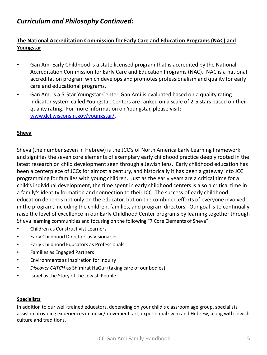# *Curriculum and Philosophy Continued:*

# **The National Accreditation Commission for Early Care and Education Programs (NAC) and Youngstar**

- Gan Ami Early Childhood is a state licensed program that is accredited by the National Accreditation Commission for Early Care and Education Programs (NAC). NAC is a national accreditation program which develops and promotes professionalism and quality for early care and educational programs.
- Gan Ami is a 5-Star Youngstar Center. Gan Ami is evaluated based on a quality rating indicator system called Youngstar. Centers are ranked on a scale of 2-5 stars based on their quality rating. For more information on Youngstar, please visit: [www.dcf.wisconsin.gov/youngstar/.](http://www.dcf.wisconsin.gov/youngstar/)

## **Sheva**

Sheva (the number seven in Hebrew) is the JCC's of North America Early Learning Framework and signifies the seven core elements of exemplary early childhood practice deeply rooted in the latest research on child development seen through a Jewish lens. Early childhood education has been a centerpiece of JCCs for almost a century, and historically it has been a gateway into JCC programming for families with young children. Just as the early years are a critical time for a child's individual development, the time spent in early childhood centers is also a critical time in a family's identity formation and connection to their JCC. The success of early childhood education depends not only on the educator, but on the combined efforts of everyone involved in the program, including the children, families, and program directors. Our goal is to continually raise the level of excellence in our Early Childhood Center programs by learning together through Sheva learning communities and focusing on the following "7 Core Elements of Sheva":

- Children as Constructivist Learners
- Early Childhood Directors as Visionaries
- Early Childhood Educators as Professionals
- Families as Engaged Partners
- Environments as Inspiration for Inquiry
- *Discover CATCH* as Sh'mirat HaGuf (taking care of our bodies)
- Israel as the Story of the Jewish People

#### **Specialists**

In addition to our well-trained educators, depending on your child's classroom age group, specialists assist in providing experiences in music/movement, art, experiential swim and Hebrew, along with Jewish culture and traditions.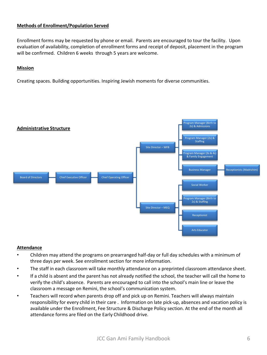#### **Methods of Enrollment/Population Served**

Enrollment forms may be requested by phone or email. Parents are encouraged to tour the facility. Upon evaluation of availability, completion of enrollment forms and receipt of deposit, placement in the program will be confirmed. Children 6 weeks through 5 years are welcome.

#### **Mission**

Creating spaces. Building opportunities. Inspiring Jewish moments for diverse communities.



#### **Attendance**

- Children may attend the programs on prearranged half-day or full day schedules with a minimum of three days per week. See enrollment section for more information.
- The staff in each classroom will take monthly attendance on a preprinted classroom attendance sheet.
- If a child is absent and the parent has not already notified the school, the teacher will call the home to verify the child's absence. Parents are encouraged to call into the school's main line or leave the classroom a message on Remini, the school's communication system.
- Teachers will record when parents drop off and pick up on Remini. Teachers will always maintain responsibility for every child in their care . Information on late pick-up, absences and vacation policy is available under the Enrollment, Fee Structure & Discharge Policy section. At the end of the month all attendance forms are filed on the Early Childhood drive.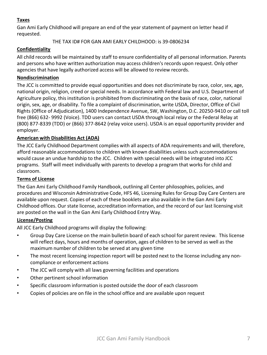## **Taxes**

Gan Ami Early Childhood will prepare an end of the year statement of payment on letter head if requested.

THE TAX ID# FOR GAN AMI EARLY CHILDHOOD: is 39-0806234

## **Confidentiality**

All child records will be maintained by staff to ensure confidentiality of all personal information. Parents and persons who have written authorization may access children's records upon request. Only other agencies that have legally authorized access will be allowed to review records.

### **Nondiscrimination**

The JCC is committed to provide equal opportunities and does not discriminate by race, color, sex, age, national origin, religion, creed or special needs. In accordance with Federal law and U.S. Department of Agriculture policy, this institution is prohibited from discriminating on the basis of race, color, national origin, sex, age, or disability. To file a complaint of discrimination, write USDA, Director, Office of Civil Rights (Office of Adjudication), 1400 Independence Avenue, SW, Washington, D.C. 20250-9410 or call toll free (866) 632- 9992 (Voice). TDD users can contact USDA through local relay or the Federal Relay at (800) 877-8339 (TDD) or (866) 377-8642 (relay voice users). USDA is an equal opportunity provider and employer.

### **American with Disabilities Act (ADA)**

The JCC Early Childhood Department complies with all aspects of ADA requirements and will, therefore, afford reasonable accommodations to children with known disabilities unless such accommodations would cause an undue hardship to the JCC. Children with special needs will be integrated into JCC programs. Staff will meet individually with parents to develop a program that works for child and classroom.

#### **Terms of License**

The Gan Ami Early Childhood Family Handbook, outlining all Center philosophies, policies, and procedures and Wisconsin Administrative Code, HFS 46, Licensing Rules for Group Day Care Centers are available upon request. Copies of each of these booklets are also available in the Gan Ami Early Childhood offices. Our state license, accreditation information, and the record of our last licensing visit are posted on the wall in the Gan Ami Early Childhood Entry Way.

#### **License/Posting**

All JCC Early Childhood programs will display the following:

- Group Day Care License on the main bulletin board of each school for parent review. This license will reflect days, hours and months of operation, ages of children to be served as well as the maximum number of children to be served at any given time
- The most recent licensing inspection report will be posted next to the license including any noncompliance or enforcement actions
- The JCC will comply with all laws governing facilities and operations
- Other pertinent school information
- Specific classroom information is posted outside the door of each classroom
- Copies of policies are on file in the school office and are available upon request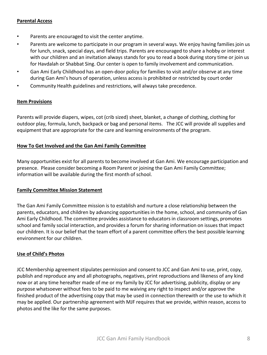#### **Parental Access**

- Parents are encouraged to visit the center anytime.
- Parents are welcome to participate in our program in several ways. We enjoy having families join us for lunch, snack, special days, and field trips. Parents are encouraged to share a hobby or interest with our children and an invitation always stands for you to read a book during story time or join us for Havdalah or Shabbat Sing. Our center is open to family involvement and communication.
- Gan Ami Early Childhood has an open-door policy for families to visit and/or observe at any time during Gan Ami's hours of operation, unless access is prohibited or restricted by court order
- Community Health guidelines and restrictions, will always take precedence.

#### **Item Provisions**

Parents will provide diapers, wipes, cot (crib sized) sheet, blanket, a change of clothing, clothing for outdoor play, formula, lunch, backpack or bag and personal items. The JCC will provide all supplies and equipment that are appropriate for the care and learning environments of the program.

#### **How To Get Involved and the Gan Ami Family Committee**

Many opportunities exist for all parents to become involved at Gan Ami. We encourage participation and presence. Please consider becoming a Room Parent or joining the Gan Ami Family Committee; information will be available during the first month of school.

#### **Family Committee Mission Statement**

The Gan Ami Family Committee mission is to establish and nurture a close relationship between the parents, educators, and children by advancing opportunities in the home, school, and community of Gan Ami Early Childhood. The committee provides assistance to educators in classroom settings, promotes school and family social interaction, and provides a forum for sharing information on issues that impact our children. It is our belief that the team effort of a parent committee offers the best possible learning environment for our children.

#### **Use of Child's Photos**

JCC Membership agreement stipulates permission and consent to JCC and Gan Ami to use, print, copy, publish and reproduce any and all photographs, negatives, print reproductions and likeness of any kind now or at any time hereafter made of me or my family by JCC for advertising, publicity, display or any purpose whatsoever without fees to be paid to me waiving any right to inspect and/or approve the finished product of the advertising copy that may be used in connection therewith or the use to which it may be applied. Our partnership agreement with MJF requires that we provide, within reason, access to photos and the like for the same purposes.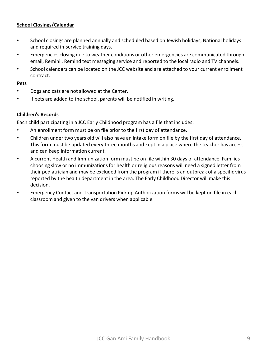## **School Closings/Calendar**

- School closings are planned annually and scheduled based on Jewish holidays, National holidays and required in-service training days.
- Emergencies closing due to weather conditions or other emergencies are communicated through email, Remini , Remind text messaging service and reported to the local radio and TV channels.
- School calendars can be located on the JCC website and are attached to your current enrollment contract.

#### **Pets**

- Dogs and cats are not allowed at the Center.
- If pets are added to the school, parents will be notified in writing.

#### **Children's Records**

Each child participating in a JCC Early Childhood program has a file that includes:

- An enrollment form must be on file prior to the first day of attendance.
- Children under two years old will also have an intake form on file by the first day of attendance. This form must be updated every three months and kept in a place where the teacher has access and can keep information current.
- A current Health and Immunization form must be on file within 30 days of attendance. Families choosing slow or no immunizations for health or religious reasons will need a signed letter from their pediatrician and may be excluded from the program if there is an outbreak of a specific virus reported by the health department in the area. The Early Childhood Director will make this decision.
- Emergency Contact and Transportation Pick up Authorization forms will be kept on file in each classroom and given to the van drivers when applicable.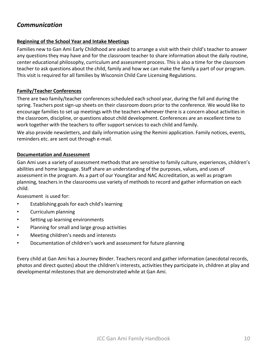# *Communication*

#### **Beginning of the School Year and Intake Meetings**

Families new to Gan Ami Early Childhood are asked to arrange a visit with their child's teacher to answer any questions they may have and for the classroom teacher to share information about the daily routine, center educational philosophy, curriculum and assessment process. This is also a time for the classroom teacher to ask questions about the child, family and how we can make the family a part of our program. This visit is required for all families by Wisconsin Child Care Licensing Regulations.

#### **Family/Teacher Conferences**

There are two family/teacher conferences scheduled each school year, during the fall and during the spring. Teachers post sign-up sheets on their classroom doors prior to the conference. We would like to encourage families to set up meetings with the teachers whenever there is a concern about activities in the classroom, discipline, or questions about child development. Conferences are an excellent time to work together with the teachers to offer support services to each child and family.

We also provide newsletters, and daily information using the Remini application. Family notices, events, reminders etc. are sent out through e-mail.

#### **Documentation and Assessment**

Gan Ami uses a variety of assessment methods that are sensitive to family culture, experiences, children's abilities and home language. Staff share an understanding of the purposes, values, and uses of assessment in the program. As a part of our YoungStar and NAC Accreditation, as well as program planning, teachers in the classrooms use variety of methods to record and gather information on each child.

Assessment is used for:

- Establishing goals for each child's learning
- Curriculum planning
- Setting up learning environments
- Planning for small and large group activities
- Meeting children's needs and interests
- Documentation of children's work and assessment for future planning

Every child at Gan Ami has a Journey Binder. Teachers record and gather information (anecdotal records, photos and direct quotes) about the children's interests, activities they participate in, children at play and developmental milestones that are demonstrated while at Gan Ami.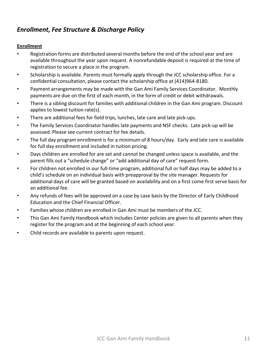# *Enrollment, Fee Structure & Discharge Policy*

## **Enrollment**

- Registration forms are distributed several months before the end of the school year and are available throughout the year upon request. A nonrefundable deposit is required at the time of registration to secure a place in the program.
- Scholarship is available. Parents must formally apply through the JCC scholarship office. For a confidential consultation, please contact the scholarship office at (414)964-8180.
- Payment arrangements may be made with the Gan Ami Family Services Coordinator. Monthly payments are due on the first of each month, in the form of credit or debit withdrawals.
- There is a sibling discount for families with additional children in the Gan Ami program. Discount applies to lowest tuition rate(s).
- There are additional fees for field trips, lunches, late care and late pick-ups.
- The Family Services Coordinator handles late payments and NSF checks. Late pick-up will be assessed. Please see current contract for fee details.
- The full day program enrollment is for a minimum of 8 hours/day. Early and late care is available for full day enrollment and included in tuition pricing.
- Days children are enrolled for are set and cannot be changed unless space is available, and the parent fills out a "schedule change" or "add additional day of care" request form.
- For children not enrolled in our full-time program, additional full or half days may be added to a child's schedule on an individual basis with preapproval by the site manager. Requests for additional days of care will be granted based on availability and on a first come first serve basis for an additional fee.
- Any refunds of fees will be approved on a case by case basis by the Director of Early Childhood Education and the Chief Financial Officer.
- Families whose children are enrolled in Gan Ami must be members of the JCC.
- This Gan Ami Family Handbook which includes Center policies are given to all parents when they register for the program and at the beginning of each school year.
- Child records are available to parents upon request.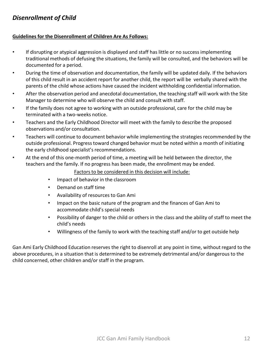# *Disenrollment of Child*

#### **Guidelines for the Disenrollment of Children Are As Follows:**

- If disrupting or atypical aggression is displayed and staff has little or no success implementing traditional methods of defusing the situations, the family will be consulted, and the behaviors will be documented for a period.
- During the time of observation and documentation, the family will be updated daily. If the behaviors of this child result in an accident report for another child, the report will be verbally shared with the parents of the child whose actions have caused the incident withholding confidential information.
- After the observation period and anecdotal documentation, the teaching staff will work with the Site Manager to determine who will observe the child and consult with staff.
- If the family does not agree to working with an outside professional, care for the child may be terminated with a two-weeks notice.
- Teachers and the Early Childhood Director will meet with the family to describe the proposed observations and/or consultation.
- Teachers will continue to document behavior while implementing the strategies recommended by the outside professional. Progress toward changed behavior must be noted within a month of initiating the early childhood specialist's recommendations.
- At the end of this one-month period of time, a meeting will be held between the director, the teachers and the family. If no progress has been made, the enrollment may be ended.

Factors to be considered in this decision will include:

- Impact of behavior in the classroom
- Demand on staff time
- Availability of resources to Gan Ami
- Impact on the basic nature of the program and the finances of Gan Ami to accommodate child's special needs
- Possibility of danger to the child or others in the class and the ability of staff to meet the child's needs
- Willingness of the family to work with the teaching staff and/or to get outside help

Gan Ami Early Childhood Education reserves the right to disenroll at any point in time, without regard to the above procedures, in a situation that is determined to be extremely detrimental and/or dangerous to the child concerned, other children and/or staff in the program.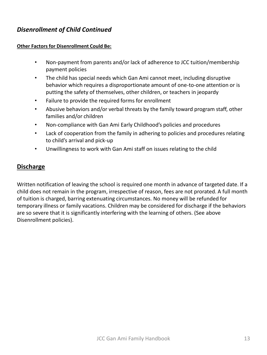# *Disenrollment of Child Continued*

## **Other Factors for Disenrollment Could Be:**

- Non-payment from parents and/or lack of adherence to JCC tuition/membership payment policies
- The child has special needs which Gan Ami cannot meet, including disruptive behavior which requires a disproportionate amount of one-to-one attention or is putting the safety of themselves, other children, or teachers in jeopardy
- Failure to provide the required forms for enrollment
- Abusive behaviors and/or verbal threats by the family toward program staff, other families and/or children
- Non-compliance with Gan Ami Early Childhood's policies and procedures
- Lack of cooperation from the family in adhering to policies and procedures relating to child's arrival and pick-up
- Unwillingness to work with Gan Ami staff on issues relating to the child

# **Discharge**

Written notification of leaving the school is required one month in advance of targeted date. If a child does not remain in the program, irrespective of reason, fees are not prorated. A full month of tuition is charged, barring extenuating circumstances. No money will be refunded for temporary illness or family vacations. Children may be considered for discharge if the behaviors are so severe that it is significantly interfering with the learning of others. (See above Disenrollment policies).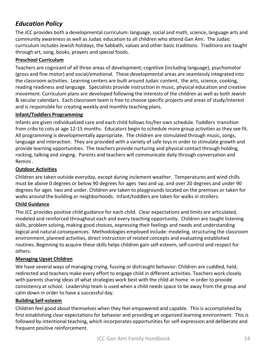# *Education Policy*

The JCC provides both a developmental curriculum: language, social and math, science, language arts and community awareness as well as Judaic education to all children who attend Gan Ami. The Judaic curriculum includes Jewish holidays, the Sabbath, values and other basic traditions. Traditions are taught through art, song, books, prayers and special foods.

### **Preschool Curriculum**

Teachers are cognizant of all three areas of development; cognitive (including language), psychomotor (gross and fine motor) and social/emotional. These developmental areas are seamlessly integrated into the classroom activities. Learning centers are built around Judaic content, the arts, science, cooking, reading readiness and language. Specialists provide instruction in music, physical education and creative movement. Curriculum plans are developed following the interests of the children as well as both Jewish & secular calendars. Each classroom team is free to choose specific projects and areas of study/interest and is responsible for creating weekly and monthly teaching plans.

#### **Infant/Toddlers Programming**

Infants are given individualized care and each child follows his/her own schedule. Toddlers transition from cribs to cots at age 12-15 months. Educators begin to schedule more group activities as they see fit. All programming is developmentally appropriate. The children are stimulated through music, songs, language and interaction. They are provided with a variety of safe toys in order to stimulate growth and provide learning opportunities. The teachers provide nurturing and physical contact through holding, rocking, talking and singing. Parents and teachers will communicate daily through conversation and Remini .

### **Outdoor Activities**

Children are taken outside everyday, except during inclement weather. Temperatures and wind chills must be above 0 degrees or below 90 degrees for ages two and up, and over 20 degrees and under 90 degrees for ages two and under. Children are taken to playgrounds located on the premises or taken for walks around the building or neighborhoods. Infant/toddlers are taken for walks in strollers.

#### **Child Guidance**

The JCC provides positive child guidance for each child. Clear expectations and limits are articulated, modeled and reinforced throughout each and every teaching opportunity. Children are taught listening skills, problem solving, making good choices, expressing their feelings and needs and understanding logical and natural consequences. Methodologies employed include: modeling, structuring the classroom environment, planned activities, direct instruction of related concepts and evaluating established routines. Beginning to acquire these skills helps children gain self-esteem, self-control and respect for others.

#### **Managing Upset Children**

We have several ways of managing crying, fussing or distraught behavior: Children are cuddled, held, redirected and teachers make every effort to engage child in different activities. Teachers work closely with parents sharing ideas of what strategies work best with the child at home in order to provide consistency at school. Leadership team is used when a child needs space to be away from the group and calm down in order to have a successful day.

#### **Building Self-esteem**

Children feel good about themselves when they feel empowered and capable. This is accomplished by first establishing clear expectations for behavior and providing an organized learning environment. This is followed by intentional teaching, which incorporates opportunities for self-expression and deliberate and frequent positive reinforcement.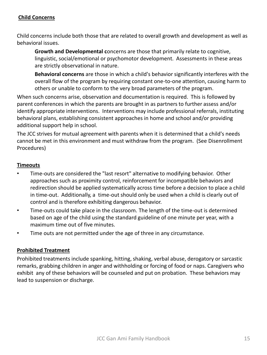## **Child Concerns**

Child concerns include both those that are related to overall growth and development as well as behavioral issues.

**Growth and Developmental c**oncerns are those that primarily relate to cognitive, linguistic, social/emotional or psychomotor development. Assessments in these areas are strictly observational in nature.

**Behavioral concerns** are those in which a child's behavior significantly interferes with the overall flow of the program by requiring constant one-to-one attention, causing harm to others or unable to conform to the very broad parameters of the program.

When such concerns arise, observation and documentation is required. This is followed by parent conferences in which the parents are brought in as partners to further assess and/or identify appropriate interventions. Interventions may include professional referrals, instituting behavioral plans, establishing consistent approaches in home and school and/or providing additional support help in school.

The JCC strives for mutual agreement with parents when it is determined that a child's needs cannot be met in this environment and must withdraw from the program. (See Disenrollment Procedures)

## **Timeouts**

- Time-outs are considered the "last resort" alternative to modifying behavior. Other approaches such as proximity control, reinforcement for incompatible behaviors and redirection should be applied systematically across time before a decision to place a child in time-out. Additionally, a time-out should only be used when a child is clearly out of control and is therefore exhibiting dangerous behavior.
- Time-outs could take place in the classroom. The length of the time-out is determined based on age of the child using the standard guideline of one minute per year, with a maximum time out of five minutes.
- Time outs are not permitted under the age of three in any circumstance.

## **Prohibited Treatment**

Prohibited treatments include spanking, hitting, shaking, verbal abuse, derogatory or sarcastic remarks, grabbing children in anger and withholding or forcing of food or naps. Caregivers who exhibit any of these behaviors will be counseled and put on probation. These behaviors may lead to suspension or discharge.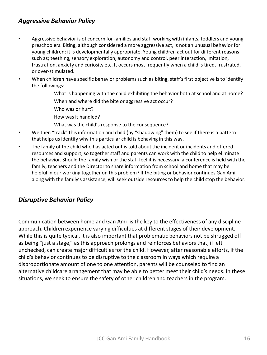# *Aggressive Behavior Policy*

- Aggressive behavior is of concern for families and staff working with infants, toddlers and young preschoolers. Biting, although considered a more aggressive act, is not an unusual behavior for young children; it is developmentally appropriate. Young children act out for different reasons such as; teething, sensory exploration, autonomy and control, peer interaction, imitation, frustration, anxiety and curiosity etc. It occurs most frequently when a child is tired, frustrated, or over-stimulated.
- When children have specific behavior problems such as biting, staff's first objective is to identify the followings:
	- What is happening with the child exhibiting the behavior both at school and at home? When and where did the bite or aggressive act occur?
	- Who was or hurt?
	- How was it handled?
	- What was the child's response to the consequence?
- We then "track" this information and child (by "shadowing" them) to see if there is a pattern that helps us identify why this particular child is behaving in this way.
- The family of the child who has acted out is told about the incident or incidents and offered resources and support, so together staff and parents can work with the child to help eliminate the behavior. Should the family wish or the staff feel it is necessary, a conference is held with the family, teachers and the Director to share information from school and home that may be helpful in our working together on this problem? If the biting or behavior continues Gan Ami, along with the family's assistance, will seek outside resources to help the child stop the behavior.

# *Disruptive Behavior Policy*

Communication between home and Gan Ami is the key to the effectiveness of any discipline approach. Children experience varying difficulties at different stages of their development. While this is quite typical, it is also important that problematic behaviors not be shrugged off as being "just a stage," as this approach prolongs and reinforces behaviors that, if left unchecked, can create major difficulties for the child. However, after reasonable efforts, if the child's behavior continues to be disruptive to the classroom in ways which require a disproportionate amount of one to one attention, parents will be counseled to find an alternative childcare arrangement that may be able to better meet their child's needs. In these situations, we seek to ensure the safety of other children and teachers in the program.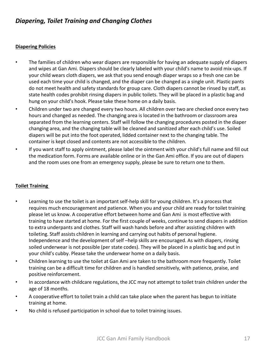# *Diapering, Toilet Training and Changing Clothes*

#### **Diapering Policies**

- The families of children who wear diapers are responsible for having an adequate supply of diapers and wipes at Gan Ami. Diapers should be clearly labeled with your child's name to avoid mix-ups. If your child wears cloth diapers, we ask that you send enough diaper wraps so a fresh one can be used each time your child is changed, and the diaper can be changed as a single unit. Plastic pants do not meet health and safety standards for group care. Cloth diapers cannot be rinsed by staff, as state health codes prohibit rinsing diapers in public toilets. They will be placed in a plastic bag and hung on your child's hook. Please take these home on a daily basis.
- Children under two are changed every two hours. All children over two are checked once every two hours and changed as needed. The changing area is located in the bathroom or classroom area separated from the learning centers. Staff will follow the changing procedures posted in the diaper changing area, and the changing table will be cleaned and sanitized after each child's use. Soiled diapers will be put into the foot operated, lidded container next to the changing table. The container is kept closed and contents are not accessible to the children.
- If you want staff to apply ointment, please label the ointment with your child's full name and fill out the medication form. Forms are available online or in the Gan Ami office. If you are out of diapers and the room uses one from an emergency supply, please be sure to return one to them.

## **Toilet Training**

- Learning to use the toilet is an important self-help skill for young children. It's a process that requires much encouragement and patience. When you and your child are ready for toilet training please let us know. A cooperative effort between home and Gan Ami is most effective with training to have started at home. For the first couple of weeks, continue to send diapers in addition to extra underpants and clothes. Staff will wash hands before and after assisting children with toileting. Staff assists children in learning and carrying out habits of personal hygiene. Independence and the development of self –help skills are encouraged. As with diapers, rinsing soiled underwear is not possible (per state codes). They will be placed in a plastic bag and put in your child's cubby. Please take the underwear home on a daily basis.
- Children learning to use the toilet at Gan Ami are taken to the bathroom more frequently. Toilet training can be a difficult time for children and is handled sensitively, with patience, praise, and positive reinforcement.
- In accordance with childcare regulations, the JCC may not attempt to toilet train children under the age of 18 months.
- A cooperative effort to toilet train a child can take place when the parent has begun to initiate training at home.
- No child is refused participation in school due to toilet training issues.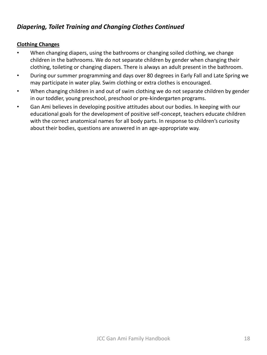# *Diapering, Toilet Training and Changing Clothes Continued*

## **Clothing Changes**

- When changing diapers, using the bathrooms or changing soiled clothing, we change children in the bathrooms. We do not separate children by gender when changing their clothing, toileting or changing diapers. There is always an adult present in the bathroom.
- During our summer programming and days over 80 degrees in Early Fall and Late Spring we may participate in water play. Swim clothing or extra clothes is encouraged.
- When changing children in and out of swim clothing we do not separate children by gender in our toddler, young preschool, preschool or pre-kindergarten programs.
- Gan Ami believes in developing positive attitudes about our bodies. In keeping with our educational goals for the development of positive self-concept, teachers educate children with the correct anatomical names for all body parts. In response to children's curiosity about their bodies, questions are answered in an age-appropriate way.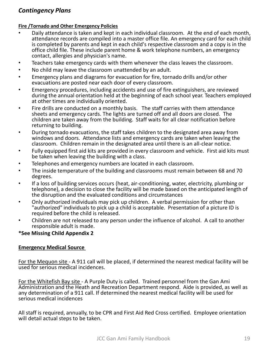# *Contingency Plans*

#### **Fire /Tornado and Other Emergency Policies**

- Daily attendance is taken and kept in each individual classroom. At the end of each month, attendance records are compiled into a master office file. An emergency card for each child is completed by parents and kept in each child's respective classroom and a copy is in the office child file. These include parent home & work telephone numbers, an emergency contact, allergies and physician's name.
- Teachers take emergency cards with them whenever the class leaves the classroom.
- No child may leave the classroom unattended by an adult.
- Emergency plans and diagrams for evacuation for fire, tornado drills and/or other evacuations are posted near each door of every classroom.
- Emergency procedures, including accidents and use of fire extinguishers, are reviewed during the annual orientation held at the beginning of each school year. Teachers employed at other times are individually oriented.
- Fire drills are conducted on a monthly basis. The staff carries with them attendance sheets and emergency cards. The lights are turned off and all doors are closed. The children are taken away from the building. Staff waits for all clear notification before returning to building.
- During tornado evacuations, the staff takes children to the designated area away from windows and doors. Attendance lists and emergency cards are taken when leaving the classroom. Children remain in the designated area until there is an all-clear notice.
- Fully equipped first aid kits are provided in every classroom and vehicle. First aid kits must be taken when leaving the building with a class.
- Telephones and emergency numbers are located in each classroom.
- The inside temperature of the building and classrooms must remain between 68 and 70 degrees.
- If a loss of building services occurs (heat, air-conditioning, water, electricity, plumbing or telephone), a decision to close the facility will be made based on the anticipated length of the disruption and the evaluated conditions and circumstances
- Only authorized individuals may pick up children. A verbal permission for other than "authorized" individuals to pick up a child is acceptable. Presentation of a picture ID is required before the child is released.
- Children are not released to any person under the influence of alcohol. A call to another responsible adult is made.

#### **\*See Missing Child Appendix 2**

#### **Emergency Medical Source**

For the Mequon site - A 911 call will be placed, if determined the nearest medical facility will be used for serious medical incidences.

For the Whitefish Bay site - A Purple Duty is called. Trained personnel from the Gan Ami Administration and the Heath and Recreation Department respond. Aide is provided, as well as any determination of a 911 call. If determined the nearest medical facility will be used for serious medical incidences

All staff is required, annually, to be CPR and First Aid Red Cross certified. Employee orientation will detail actual steps to be taken.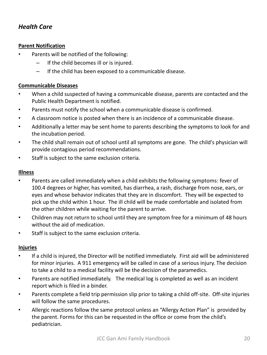# *Health Care*

## **Parent Notification**

- Parents will be notified of the following:
	- If the child becomes ill or is injured.
	- If the child has been exposed to a communicable disease.

## **Communicable Diseases**

- When a child suspected of having a communicable disease, parents are contacted and the Public Health Department is notified.
- Parents must notify the school when a communicable disease is confirmed.
- A classroom notice is posted when there is an incidence of a communicable disease.
- Additionally a letter may be sent home to parents describing the symptoms to look for and the incubation period.
- The child shall remain out of school until all symptoms are gone. The child's physician will provide contagious period recommendations.
- Staff is subject to the same exclusion criteria.

## **Illness**

- Parents are called immediately when a child exhibits the following symptoms: fever of 100.4 degrees or higher, has vomited, has diarrhea, a rash, discharge from nose, ears, or eyes and whose behavior indicates that they are in discomfort. They will be expected to pick up the child within 1 hour. The ill child will be made comfortable and isolated from the other children while waiting for the parent to arrive.
- Children may not return to school until they are symptom free for a minimum of 48 hours without the aid of medication.
- Staff is subject to the same exclusion criteria.

## **Injuries**

- If a child is injured, the Director will be notified immediately. First aid will be administered for minor injuries. A 911 emergency will be called in case of a serious injury. The decision to take a child to a medical facility will be the decision of the paramedics.
- Parents are notified immediately. The medical log is completed as well as an incident report which is filed in a binder.
- Parents complete a field trip permission slip prior to taking a child off-site. Off-site injuries will follow the same procedures.
- Allergic reactions follow the same protocol unless an "Allergy Action Plan" is provided by the parent. Forms for this can be requested in the office or come from the child's pediatrician.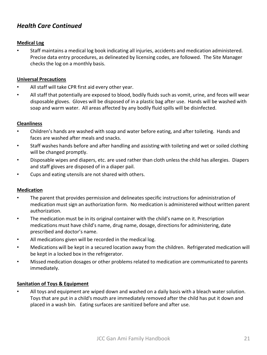# *Health Care Continued*

#### **Medical Log**

• Staff maintains a medical log book indicating all injuries, accidents and medication administered. Precise data entry procedures, as delineated by licensing codes, are followed. The Site Manager checks the log on a monthly basis.

#### **Universal Precautions**

- All staff will take CPR first aid every other year.
- All staff that potentially are exposed to blood, bodily fluids such as vomit, urine, and feces will wear disposable gloves. Gloves will be disposed of in a plastic bag after use. Hands will be washed with soap and warm water. All areas affected by any bodily fluid spills will be disinfected.

#### **Cleanliness**

- Children's hands are washed with soap and water before eating, and after toileting. Hands and faces are washed after meals and snacks.
- Staff washes hands before and after handling and assisting with toileting and wet or soiled clothing will be changed promptly.
- Disposable wipes and diapers, etc. are used rather than cloth unless the child has allergies. Diapers and staff gloves are disposed of in a diaper pail.
- Cups and eating utensils are not shared with others.

#### **Medication**

- The parent that provides permission and delineates specific instructions for administration of medication must sign an authorization form. No medication is administered without written parent authorization.
- The medication must be in its original container with the child's name on it. Prescription medications must have child's name, drug name, dosage, directions for administering, date prescribed and doctor's name.
- All medications given will be recorded in the medical log.
- Medications will be kept in a secured location away from the children. Refrigerated medication will be kept in a locked box in the refrigerator.
- Missed medication dosages or other problems related to medication are communicated to parents immediately.

#### **Sanitation of Toys & Equipment**

• All toys and equipment are wiped down and washed on a daily basis with a bleach water solution. Toys that are put in a child's mouth are immediately removed after the child has put it down and placed in a wash bin. Eating surfaces are sanitized before and after use.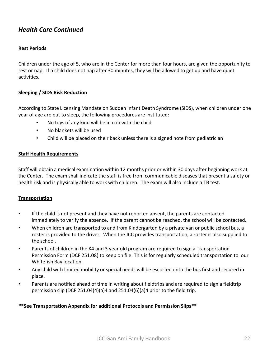# *Health Care Continued*

#### **Rest Periods**

Children under the age of 5, who are in the Center for more than four hours, are given the opportunity to rest or nap. If a child does not nap after 30 minutes, they will be allowed to get up and have quiet activities.

#### **Sleeping / SIDS Risk Reduction**

According to State Licensing Mandate on Sudden Infant Death Syndrome (SIDS), when children under one year of age are put to sleep, the following procedures are instituted:

- No toys of any kind will be in crib with the child
- No blankets will be used
- Child will be placed on their back unless there is a signed note from pediatrician

#### **Staff Health Requirements**

Staff will obtain a medical examination within 12 months prior or within 30 days after beginning work at the Center. The exam shall indicate the staff is free from communicable diseases that present a safety or health risk and is physically able to work with children. The exam will also include a TB test.

#### **Transportation**

- If the child is not present and they have not reported absent, the parents are contacted immediately to verify the absence. If the parent cannot be reached, the school will be contacted.
- When children are transported to and from Kindergarten by a private van or public school bus, a roster is provided to the driver. When the JCC provides transportation, a roster is also supplied to the school.
- Parents of children in the K4 and 3 year old program are required to sign a Transportation Permission Form (DCF 251.08) to keep on file. This is for regularly scheduled transportation to our Whitefish Bay location.
- Any child with limited mobility or special needs will be escorted onto the bus first and secured in place.
- Parents are notified ahead of time in writing about fieldtrips and are required to sign a fieldtrip permission slip (DCF 251.04(4)(a)4 and 251.04(6)(a)4 prior to the field trip.

#### **\*\*See Transportation Appendix for additional Protocols and Permission Slips\*\***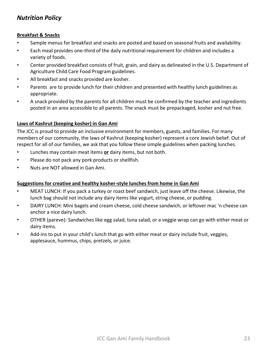# *Nutrition Policy*

#### **Breakfast & Snacks**

- Sample menus for breakfast and snacks are posted and based on seasonal fruits and availability.
- Each meal provides one-third of the daily nutritional requirement for children and includes a variety of foods.
- Center provided breakfast consists of fruit, grain, and dairy as delineated in the U.S. Department of Agriculture Child Care Food Program guidelines.
- All breakfast and snacks provided are kosher.
- Parents are to provide lunch for their children and presented with healthy lunch guidelines as appropriate.
- A snack provided by the parents for all children must be confirmed by the teacher and ingredients posted in an area accessible to all parents. The snack must be prepackaged, kosher and nut free.

## **Laws of Kashrut (keeping kosher) in Gan Ami**

The JCC is proud to provide an inclusive environment for members, guests, and families. For many members of our community, the laws of Kashrut (keeping kosher) represent a core Jewish belief. Out of respect for all of our families, we ask that you follow these simple guidelines when packing lunches.

- Lunches may contain meat items **or** dairy items, but not both.
- Please do not pack any pork products or shellfish.
- Nuts are NOT allowed in Gan Ami.

## **Suggestions for creative and healthy kosher-style lunches from home in Gan Ami**

- MEAT LUNCH: If you pack a turkey or roast beef sandwich, just leave off the cheese. Likewise, the lunch bag should not include any dairy items like yogurt, string cheese, or pudding.
- DAIRY LUNCH: Mini bagels and cream cheese, cold cheese sandwich, or leftover mac 'n cheese can anchor a nice dairy lunch.
- OTHER (pareve): Sandwiches like egg salad, tuna salad, or a veggie wrap can go with either meat or dairy items.
- Add-ins to put in your child's lunch that go with either meat or dairy include fruit, veggies, applesauce, hummus, chips, pretzels, or juice.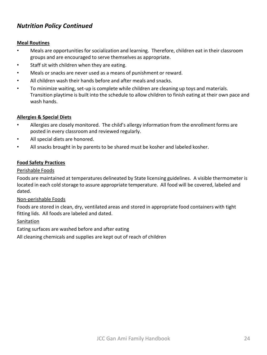# *Nutrition Policy Continued*

#### **Meal Routines**

- Meals are opportunities for socialization and learning. Therefore, children eat in their classroom groups and are encouraged to serve themselves as appropriate.
- Staff sit with children when they are eating.
- Meals or snacks are never used as a means of punishment or reward.
- All children wash their hands before and after meals and snacks.
- To minimize waiting, set-up is complete while children are cleaning up toys and materials. Transition playtime is built into the schedule to allow children to finish eating at their own pace and wash hands.

### **Allergies & Special Diets**

- Allergies are closely monitored. The child's allergy information from the enrollment forms are posted in every classroom and reviewed regularly.
- All special diets are honored.
- All snacks brought in by parents to be shared must be kosher and labeled kosher.

### **Food Safety Practices**

#### Perishable Foods

Foods are maintained at temperatures delineated by State licensing guidelines. A visible thermometer is located in each cold storage to assure appropriate temperature. All food will be covered, labeled and dated.

#### Non-perishable Foods

Foods are stored in clean, dry, ventilated areas and stored in appropriate food containers with tight fitting lids. All foods are labeled and dated.

#### Sanitation

Eating surfaces are washed before and after eating

All cleaning chemicals and supplies are kept out of reach of children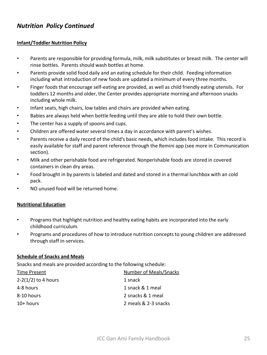# *Nutrition Policy Continued*

#### **Infant/Toddler Nutrition Policy**

- Parents are responsible for providing formula, milk, milk substitutes or breast milk. The center will rinse bottles. Parents should wash bottles at home.
- Parents provide solid food daily and an eating schedule for their child. Feeding information including what introduction of new foods are updated a minimum of every three months.
- Finger foods that encourage self-eating are provided, as well as child friendly eating utensils. For toddlers 12 months and older, the Center provides appropriate morning and afternoon snacks including whole milk.
- Infant seats, high chairs, low tables and chairs are provided when eating.
- Babies are always held when bottle feeding until they are able to hold their own bottle.
- The center has a supply of spoons and cups.
- Children are offered water several times a day in accordance with parent's wishes.
- Parents receive a daily record of the child's basic needs, which includes food intake. This record is easily available for staff and parent reference through the Remini app (see more in Communication section).
- Milk and other perishable food are refrigerated. Nonperishable foods are stored in covered containers in clean dry areas.
- Food brought in by parents is labeled and dated and stored in a thermal lunchbox with an cold pack.
- NO unused food will be returned home.

#### **Nutritional Education**

- Programs that highlight nutrition and healthy eating habits are incorporated into the early childhood curriculum.
- Programs and procedures of how to introduce nutrition concepts to young children are addressed through staff in-services.

#### **Schedule of Snacks and Meals**

Snacks and meals are provided according to the following schedule:

| Time Present          | Number of Meals/Snacks |
|-----------------------|------------------------|
| $2-2(1/2)$ to 4 hours | 1 snack                |
| 4-8 hours             | 1 snack & 1 meal       |
| 8-10 hours            | 2 snacks & 1 meal      |
| $10+$ hours           | 2 meals & 2-3 snacks   |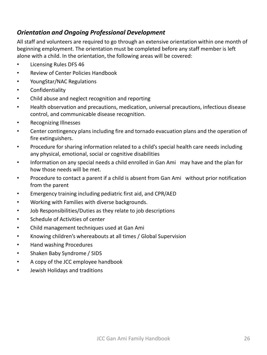# *Orientation and Ongoing Professional Development*

All staff and volunteers are required to go through an extensive orientation within one month of beginning employment. The orientation must be completed before any staff member is left alone with a child. In the orientation, the following areas will be covered:

- Licensing Rules DFS 46
- Review of Center Policies Handbook
- YoungStar/NAC Regulations
- Confidentiality
- Child abuse and neglect recognition and reporting
- Health observation and precautions, medication, universal precautions, infectious disease control, and communicable disease recognition.
- Recognizing Illnesses
- Center contingency plans including fire and tornado evacuation plans and the operation of fire extinguishers.
- Procedure for sharing information related to a child's special health care needs including any physical, emotional, social or cognitive disabilities
- Information on any special needs a child enrolled in Gan Ami may have and the plan for how those needs will be met.
- Procedure to contact a parent if a child is absent from Gan Ami without prior notification from the parent
- Emergency training including pediatric first aid, and CPR/AED
- Working with Families with diverse backgrounds.
- Job Responsibilities/Duties as they relate to job descriptions
- Schedule of Activities of center
- Child management techniques used at Gan Ami
- Knowing children's whereabouts at all times / Global Supervision
- Hand washing Procedures
- Shaken Baby Syndrome / SIDS
- A copy of the JCC employee handbook
- Jewish Holidays and traditions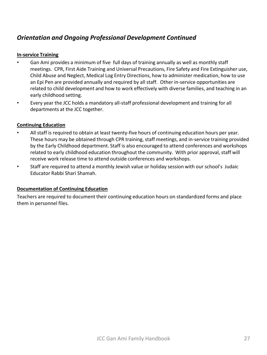# *Orientation and Ongoing Professional Development Continued*

#### **In-service Training**

- Gan Ami provides a minimum of five full days of training annually as well as monthly staff meetings. CPR, First Aide Training and Universal Precautions, Fire Safety and Fire Extinguisher use, Child Abuse and Neglect, Medical Log Entry Directions, how to administer medication, how to use an Epi Pen are provided annually and required by all staff. Other in-service opportunities are related to child development and how to work effectively with diverse families, and teaching in an early childhood setting.
- Every year the JCC holds a mandatory all-staff professional development and training for all departments at the JCC together.

### **Continuing Education**

- All staff is required to obtain at least twenty-five hours of continuing education hours per year. These hours may be obtained through CPR training, staff meetings, and in-service training provided by the Early Childhood department. Staff is also encouraged to attend conferences and workshops related to early childhood education throughout the community. With prior approval, staff will receive work release time to attend outside conferences and workshops.
- Staff are required to attend a monthly Jewish value or holiday session with our school's Judaic Educator Rabbi Shari Shamah.

#### **Documentation of Continuing Education**

Teachers are required to document their continuing education hours on standardized forms and place them in personnel files.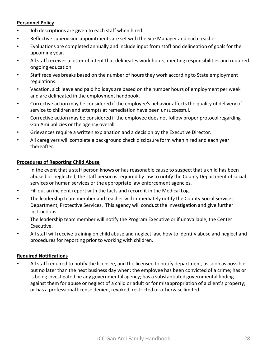#### **Personnel Policy**

- Job descriptions are given to each staff when hired.
- Reflective supervision appointments are set with the Site Manager and each teacher.
- Evaluations are completed annually and include input from staff and delineation of goals for the upcoming year.
- All staff receives a letter of intent that delineates work hours, meeting responsibilities and required ongoing education.
- Staff receives breaks based on the number of hours they work according to State employment regulations.
- Vacation, sick leave and paid holidays are based on the number hours of employment per week and are delineated in the employment handbook.
- Corrective action may be considered if the employee's behavior affects the quality of delivery of service to children and attempts at remediation have been unsuccessful.
- Corrective action may be considered if the employee does not follow proper protocol regarding Gan Ami policies or the agency overall.
- Grievances require a written explanation and a decision by the Executive Director.
- All caregivers will complete a background check disclosure form when hired and each year thereafter.

### **Procedures of Reporting Child Abuse**

- In the event that a staff person knows or has reasonable cause to suspect that a child has been abused or neglected, the staff person is required by law to notify the County Department of social services or human services or the appropriate law enforcement agencies.
- Fill out an incident report with the facts and record it in the Medical Log.
- The leadership team member and teacher will immediately notify the County Social Services Department, Protective Services. This agency will conduct the investigation and give further instructions.
- The leadership team member will notify the Program Executive or if unavailable, the Center Executive.
- All staff will receive training on child abuse and neglect law, how to identify abuse and neglect and procedures for reporting prior to working with children.

#### **Required Notifications**

• All staff required to notify the licensee, and the licensee to notify department, as soon as possible but no later than the next business day when: the employee has been convicted of a crime; has or is being investigated be any governmental agency; has a substantiated governmental finding against them for abuse or neglect of a child or adult or for misappropriation of a client's property; or has a professional license denied, revoked, restricted or otherwise limited.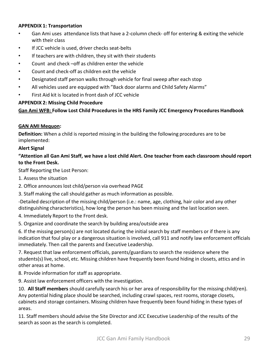#### **APPENDIX 1: Transportation**

- Gan Ami uses attendance lists that have a 2-column check- off for entering & exiting the vehicle with their class
- If JCC vehicle is used, driver checks seat-belts
- If teachers are with children, they sit with their students
- Count and check –off as children enter the vehicle
- Count and check-off as children exit the vehicle
- Designated staff person walks through vehicle for final sweep after each stop
- All vehicles used are equipped with "Back door alarms and Child Safety Alarms"
- First Aid kit is located in front dash of JCC vehicle

#### **APPENDIX 2: Missing Child Procedure**

**Gan Ami WFB: Follow Lost Child Procedures in the HRS Family JCC Emergency Procedures Handbook**

#### **GAN AMI Mequon:**

**Definition:** When a child is reported missing in the building the following procedures are to be implemented:

#### **Alert Signal**

### **"Attention all Gan Ami Staff, we have a lost child Alert. One teacher from each classroom should report to the Front Desk.**

Staff Reporting the Lost Person:

- 1. Assess the situation
- 2. Office announces lost child/person via overhead PAGE
- 3. Staff making the call should gather as much information as possible.

-Detailed description of the missing child/person (i.e.: name, age, clothing, hair color and any other distinguishing characteristics), how long the person has been missing and the last location seen.

4. Immediately Report to the Front desk.

5. Organize and coordinate the search by building area/outside area

6. If the missing person(s) are not located during the initial search by staff members or if there is any indication that foul play or a dangerous situation is involved, call 911 and notify law enforcement officials immediately. Then call the parents and Executive Leadership.

7. Request that law enforcement officials, parents/guardians to search the residence where the students(s) live, school, etc. Missing children have frequently been found hiding in closets, attics and in other areas at home.

8. Provide information for staff as appropriate.

9. Assist law enforcement officers with the investigation.

10. **All Staff members** should carefully search his or her area of responsibility for the missing child(ren). Any potential hiding place should be searched, including crawl spaces, rest rooms, storage closets, cabinets and storage containers. Missing children have frequently been found hiding in these types of areas.

11. Staff members should advise the Site Director and JCC Executive Leadership of the results of the search as soon as the search is completed.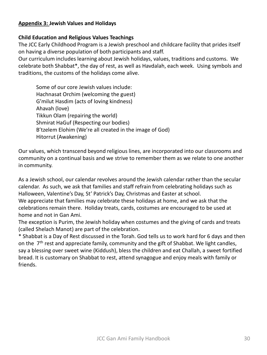## **Appendix 3: Jewish Values and Holidays**

## **Child Education and Religious Values Teachings**

The JCC Early Childhood Program is a Jewish preschool and childcare facility that prides itself on having a diverse population of both participants and staff.

Our curriculum includes learning about Jewish holidays, values, traditions and customs. We celebrate both Shabbat\*, the day of rest, as well as Havdalah, each week. Using symbols and traditions, the customs of the holidays come alive.

Some of our core Jewish values include: Hachnasat Orchim (welcoming the guest) G'milut Hasdim (acts of loving kindness) Ahavah (love) Tikkun Olam (repairing the world) Shmirat HaGuf (Respecting our bodies) B'tzelem Elohim (We're all created in the image of God) Hitorrut (Awakening)

Our values, which transcend beyond religious lines, are incorporated into our classrooms and community on a continual basis and we strive to remember them as we relate to one another in community.

As a Jewish school, our calendar revolves around the Jewish calendar rather than the secular calendar. As such, we ask that families and staff refrain from celebrating holidays such as Halloween, Valentine's Day, St' Patrick's Day, Christmas and Easter at school. We appreciate that families may celebrate these holidays at home, and we ask that the celebrations remain there. Holiday treats, cards, costumes are encouraged to be used at home and not in Gan Ami.

The exception is Purim, the Jewish holiday when costumes and the giving of cards and treats (called Shelach Manot) are part of the celebration.

\* Shabbat is a Day of Rest discussed in the Torah. God tells us to work hard for 6 days and then on the  $7<sup>th</sup>$  rest and appreciate family, community and the gift of Shabbat. We light candles, say a blessing over sweet wine (Kiddush), bless the children and eat Challah, a sweet fortified bread. It is customary on Shabbat to rest, attend synagogue and enjoy meals with family or friends.